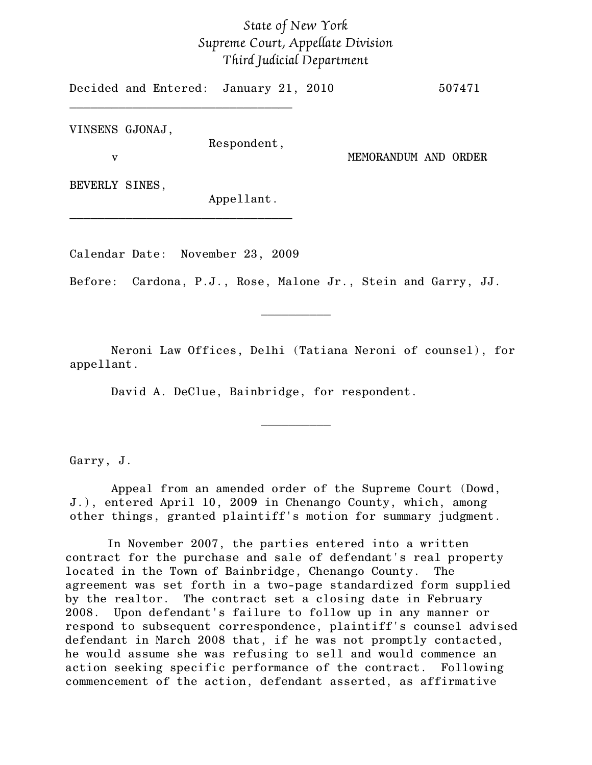## *State of New York Supreme Court, Appellate Division Third Judicial Department*

Decided and Entered: January 21, 2010 507471 \_\_\_\_\_\_\_\_\_\_\_\_\_\_\_\_\_\_\_\_\_\_\_\_\_\_\_\_\_\_\_\_

VINSENS GJONAJ,

Respondent,

v MEMORANDUM AND ORDER

BEVERLY SINES,

Appellant.

Calendar Date: November 23, 2009

\_\_\_\_\_\_\_\_\_\_\_\_\_\_\_\_\_\_\_\_\_\_\_\_\_\_\_\_\_\_\_\_

Before: Cardona, P.J., Rose, Malone Jr., Stein and Garry, JJ.

Neroni Law Offices, Delhi (Tatiana Neroni of counsel), for appellant.

\_\_\_\_\_\_\_\_\_\_

 $\frac{1}{2}$ 

David A. DeClue, Bainbridge, for respondent.

Garry, J.

Appeal from an amended order of the Supreme Court (Dowd, J.), entered April 10, 2009 in Chenango County, which, among other things, granted plaintiff's motion for summary judgment.

In November 2007, the parties entered into a written contract for the purchase and sale of defendant's real property located in the Town of Bainbridge, Chenango County. The agreement was set forth in a two-page standardized form supplied by the realtor. The contract set a closing date in February 2008. Upon defendant's failure to follow up in any manner or respond to subsequent correspondence, plaintiff's counsel advised defendant in March 2008 that, if he was not promptly contacted, he would assume she was refusing to sell and would commence an action seeking specific performance of the contract. Following commencement of the action, defendant asserted, as affirmative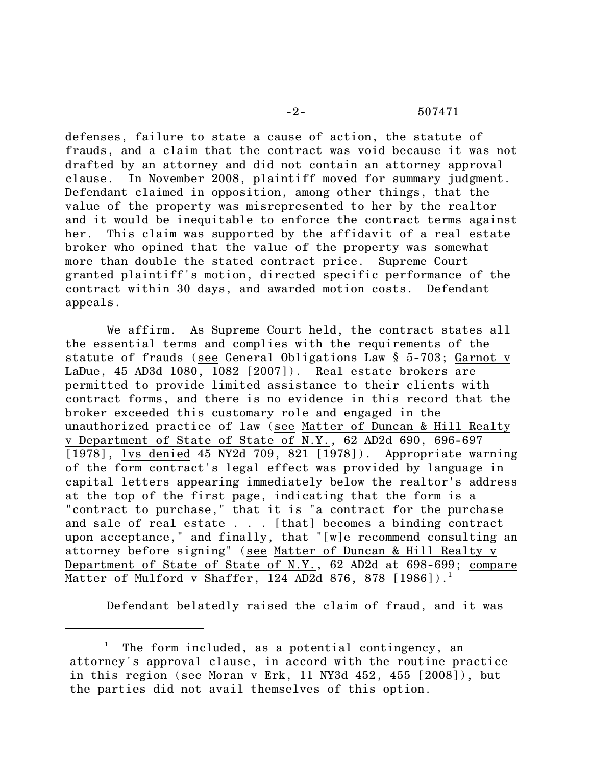## -2- 507471

defenses, failure to state a cause of action, the statute of frauds, and a claim that the contract was void because it was not drafted by an attorney and did not contain an attorney approval clause. In November 2008, plaintiff moved for summary judgment. Defendant claimed in opposition, among other things, that the value of the property was misrepresented to her by the realtor and it would be inequitable to enforce the contract terms against her. This claim was supported by the affidavit of a real estate broker who opined that the value of the property was somewhat more than double the stated contract price. Supreme Court granted plaintiff's motion, directed specific performance of the contract within 30 days, and awarded motion costs. Defendant appeals.

We affirm. As Supreme Court held, the contract states all the essential terms and complies with the requirements of the statute of frauds (see General Obligations Law § 5-703; Garnot v LaDue, 45 AD3d 1080, 1082 [2007]). Real estate brokers are permitted to provide limited assistance to their clients with contract forms, and there is no evidence in this record that the broker exceeded this customary role and engaged in the unauthorized practice of law (see Matter of Duncan & Hill Realty v Department of State of State of N.Y., 62 AD2d 690, 696-697  $\boxed{1978}$ , lvs denied 45 NY2d 709, 821  $\boxed{1978}$ ). Appropriate warning of the form contract's legal effect was provided by language in capital letters appearing immediately below the realtor's address at the top of the first page, indicating that the form is a "contract to purchase," that it is "a contract for the purchase and sale of real estate . . . [that] becomes a binding contract upon acceptance," and finally, that "[w]e recommend consulting an attorney before signing" (see Matter of Duncan & Hill Realty v Department of State of State of N.Y., 62 AD2d at 698-699; compare  $\mathtt{Matter}$  of  $\mathtt{Mulford}$  v  $\mathtt{Shafter},$   $124$  AD2d  $876,$   $878$   $[1986]$ ). $^1$ 

Defendant belatedly raised the claim of fraud, and it was

 $^1$  The form included, as a potential contingency, an attorney's approval clause, in accord with the routine practice in this region (see Moran v Erk, 11 NY3d 452, 455 [2008]), but the parties did not avail themselves of this option.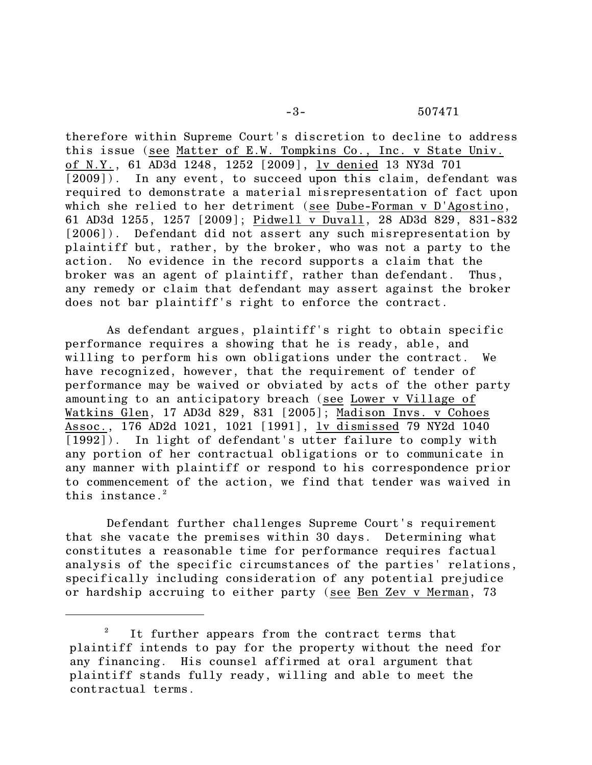therefore within Supreme Court's discretion to decline to address this issue (see Matter of E.W. Tompkins Co., Inc. v State Univ. of N.Y., 61 AD3d 1248, 1252 [2009], lv denied 13 NY3d 701 [2009]). In any event, to succeed upon this claim, defendant was required to demonstrate a material misrepresentation of fact upon which she relied to her detriment (see Dube-Forman v D'Agostino, 61 AD3d 1255, 1257 [2009]; Pidwell v Duvall, 28 AD3d 829, 831-832 [2006]). Defendant did not assert any such misrepresentation by plaintiff but, rather, by the broker, who was not a party to the action. No evidence in the record supports a claim that the broker was an agent of plaintiff, rather than defendant. Thus, any remedy or claim that defendant may assert against the broker does not bar plaintiff's right to enforce the contract.

As defendant argues, plaintiff's right to obtain specific performance requires a showing that he is ready, able, and willing to perform his own obligations under the contract. We have recognized, however, that the requirement of tender of performance may be waived or obviated by acts of the other party amounting to an anticipatory breach (see Lower v Village of Watkins Glen, 17 AD3d 829, 831 [2005]; Madison Invs. v Cohoes Assoc., 176 AD2d 1021, 1021 [1991], lv dismissed 79 NY2d 1040 [1992]). In light of defendant's utter failure to comply with any portion of her contractual obligations or to communicate in any manner with plaintiff or respond to his correspondence prior to commencement of the action, we find that tender was waived in this instance. $2$ 

Defendant further challenges Supreme Court's requirement that she vacate the premises within 30 days. Determining what constitutes a reasonable time for performance requires factual analysis of the specific circumstances of the parties' relations, specifically including consideration of any potential prejudice or hardship accruing to either party (see Ben Zev v Merman, 73

 $1$ <sup>2</sup> It further appears from the contract terms that plaintiff intends to pay for the property without the need for any financing. His counsel affirmed at oral argument that plaintiff stands fully ready, willing and able to meet the contractual terms.